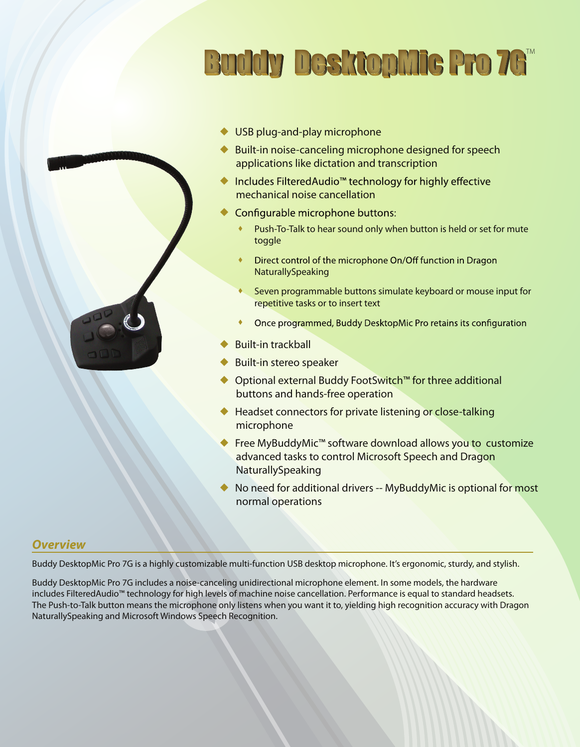



- ◆ USB plug-and-play microphone
- Built-in noise-canceling microphone designed for speech applications like dictation and transcription
- mechanical noise cancellation ◆ Includes FilteredAudio<sup>™</sup> technology for highly effective
- $\blacklozenge$ Configurable microphone buttons:
	- Push-To-Talk to hear sound only when button is held or set for mute toggle ۰
	- ٠ Direct control of the microphone On/Off function in Dragon NaturallySpeaking
	- Seven programmable buttons simulate keyboard or mouse input for repetitive tasks or to insert text ۰
	- Once programmed, Buddy DesktopMic Pro retains its configuration ٠
- Built-in trackball ♦
- Built-in stereo speaker ♦
- ◆ Optional external Buddy FootSwitch™ for three additional buttons and hands-free operation
- ◆ Headset connectors for private listening or close-talking microphone
- ◆ Free MyBuddyMic<sup>™</sup> software download allows you to customize advanced tasks to control Microsoft Speech and Dragon NaturallySpeaking
- No need for additional drivers -- MyBuddyMic is optional for most normal operations  $\blacklozenge$

#### *Overview*

Buddy DesktopMic Pro 7G is a highly customizable multi-function USB desktop microphone. It's ergonomic, sturdy, and stylish.

Buddy DesktopMic Pro 7G includes a noise-canceling unidirectional microphone element. In some models, the hardware includes FilteredAudio™ technology for high levels of machine noise cancellation. Performance is equal to standard headsets. The Push-to-Talk button means the microphone only listens when you want it to, yielding high recognition accuracy with Dragon NaturallySpeaking and Microsoft Windows Speech Recognition.